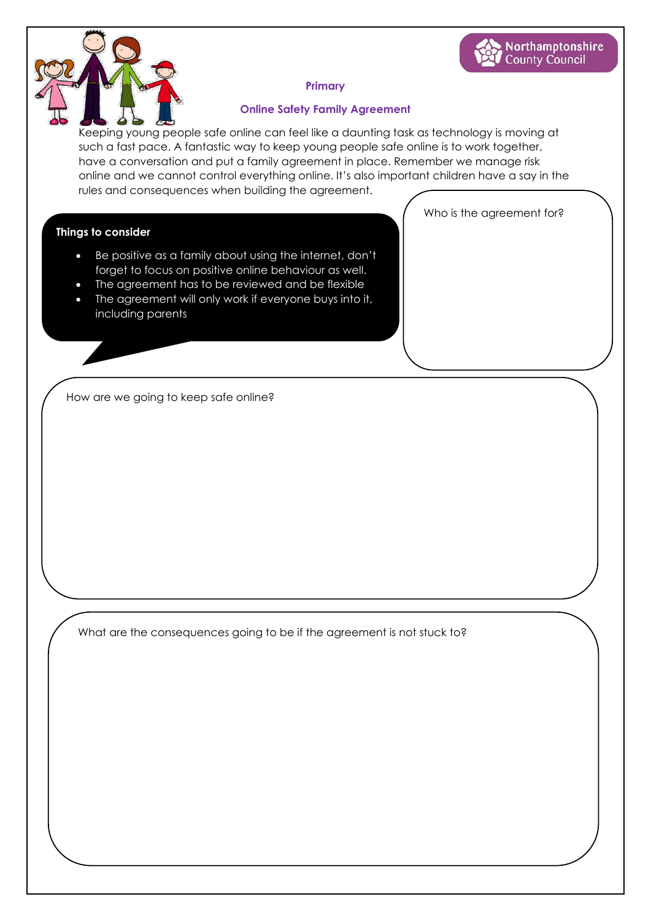

## **Primary**

### **Online Safety Family Agreement**

Keeping young people safe online can feel like a daunting task as technology is moving at such a fast pace. A fantastic way to keep young people safe online is to work together, have a conversation and put a family agreement in place. Remember we manage risk online and we cannot control everything online. It's also important children have a say in the rules and consequences when building the agreement.

Who is the agreement for?

Northamptonshire **County Council** 

### **Things to consider**

- Be positive as a family about using the internet, don't forget to focus on positive online behaviour as well.
- The agreement has to be reviewed and be flexible
- The agreement will only work if everyone buys into it, including parents

How are we going to keep safe online?

What are the consequences going to be if the agreement is not stuck to?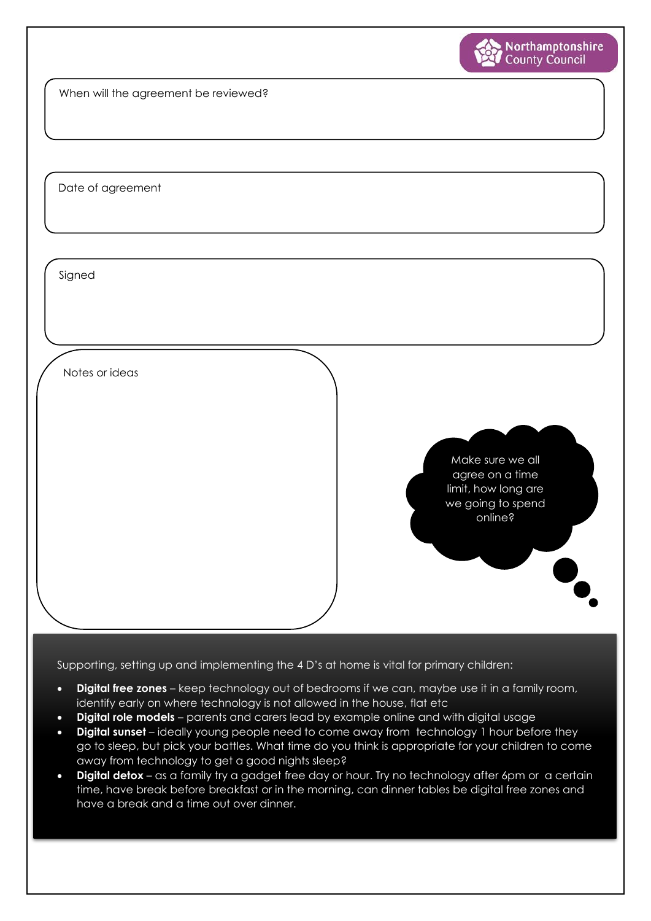

When will the agreement be reviewed?

Date of agreement

Signed

Notes or ideas

Make sure we all agree on a time limit, how long are we going to spend online?

Supporting, setting up and implementing the 4 D's at home is vital for primary children:

- **Digital free zones** keep technology out of bedrooms if we can, maybe use it in a family room, identify early on where technology is not allowed in the house, flat etc
- **Digital role models** parents and carers lead by example online and with digital usage
- **Digital sunset** ideally young people need to come away from technology 1 hour before they go to sleep, but pick your battles. What time do you think is appropriate for your children to come away from technology to get a good nights sleep?
- **Digital detox** as a family try a gadget free day or hour. Try no technology after 6pm or a certain time, have break before breakfast or in the morning, can dinner tables be digital free zones and have a break and a time out over dinner.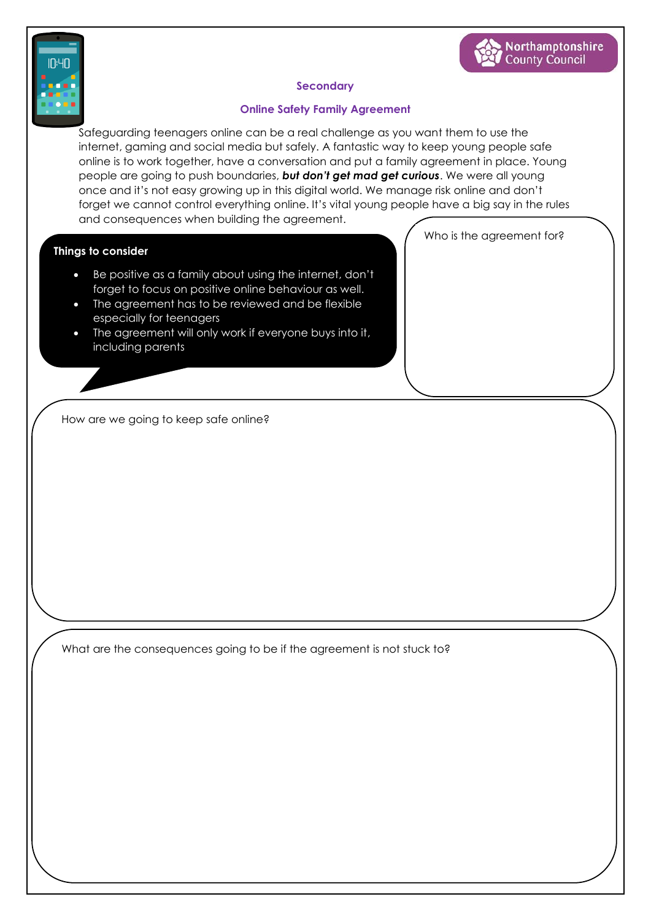



# **Secondary**

## **Online Safety Family Agreement**

Safeguarding teenagers online can be a real challenge as you want them to use the internet, gaming and social media but safely. A fantastic way to keep young people safe online is to work together, have a conversation and put a family agreement in place. Young people are going to push boundaries, *but don't get mad get curious*. We were all young once and it's not easy growing up in this digital world. We manage risk online and don't forget we cannot control everything online. It's vital young people have a big say in the rules and consequences when building the agreement.

### **Things to consider**

- Be positive as a family about using the internet, don't forget to focus on positive online behaviour as well.
- The agreement has to be reviewed and be flexible especially for teenagers
- The agreement will only work if everyone buys into it, including parents

Who is the agreement for?

How are we going to keep safe online?

What are the consequences going to be if the agreement is not stuck to?